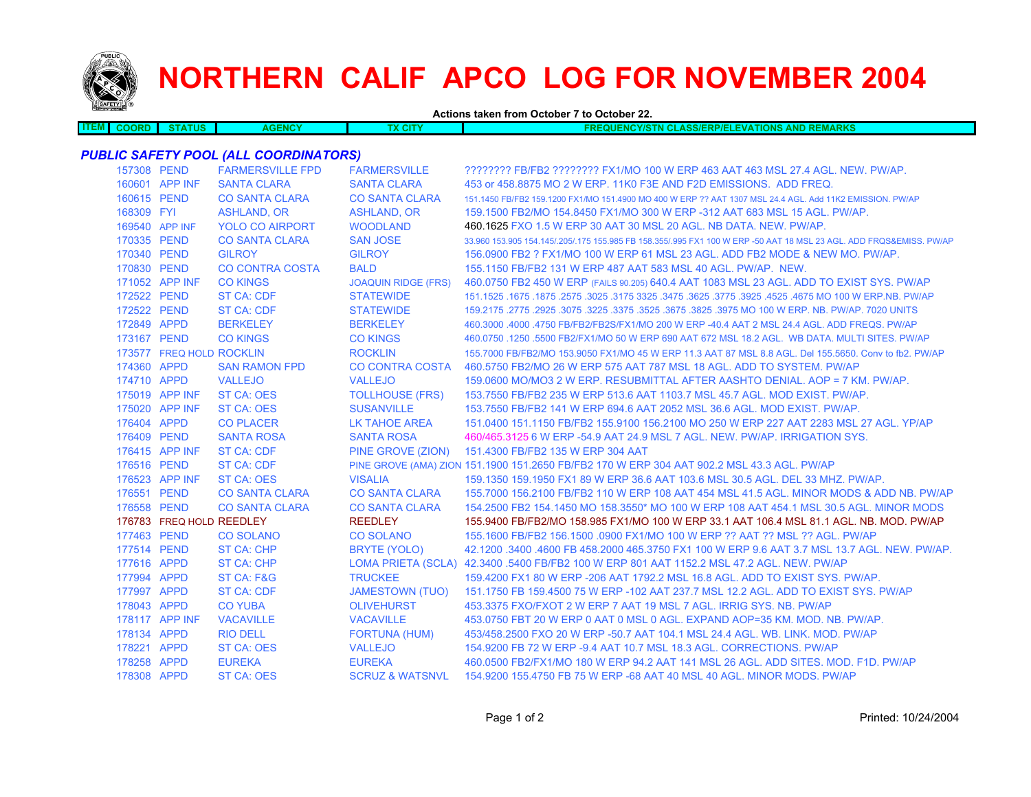

## **NORTHERN CALIF APCO LOG FOR NOVEMBER 2004**

**Actions taken from October 7 to October 22.**

| <b>ITEM</b> | <b>COORD</b> | <b>STATUS</b> | <b>AGENCY</b> | CIT | <b>AND REMARKS</b><br><b>QUENCY/STN CLASS/ERP/ELEVATIONS ,</b> |
|-------------|--------------|---------------|---------------|-----|----------------------------------------------------------------|
|             |              |               |               |     |                                                                |

## *PUBLIC SAFETY POOL (ALL COORDINATORS)*

| 157308 PEND |                          | <b>FARMERSVILLE FPD</b> | <b>FARMERSVILLE</b>        | ???????? FB/FB2 ???????? FX1/MO 100 W ERP 463 AAT 463 MSL 27.4 AGL. NEW. PW/AP.                                     |
|-------------|--------------------------|-------------------------|----------------------------|---------------------------------------------------------------------------------------------------------------------|
|             | 160601 APP INF           | <b>SANTA CLARA</b>      | <b>SANTA CLARA</b>         | 453 or 458,8875 MO 2 W ERP, 11K0 F3E AND F2D EMISSIONS. ADD FREQ.                                                   |
| 160615 PEND |                          | <b>CO SANTA CLARA</b>   | <b>CO SANTA CLARA</b>      | 151.1450 FB/FB2 159.1200 FX1/MO 151.4900 MO 400 W ERP ?? AAT 1307 MSL 24.4 AGL. Add 11K2 EMISSION. PW/AP            |
| 168309 FYI  |                          | <b>ASHLAND, OR</b>      | <b>ASHLAND, OR</b>         | 159.1500 FB2/MO 154.8450 FX1/MO 300 W ERP -312 AAT 683 MSL 15 AGL, PW/AP.                                           |
|             | 169540 APP INF           | <b>YOLO CO AIRPORT</b>  | <b>WOODLAND</b>            | 460.1625 FXO 1.5 W ERP 30 AAT 30 MSL 20 AGL. NB DATA, NEW, PW/AP.                                                   |
| 170335 PEND |                          | <b>CO SANTA CLARA</b>   | <b>SAN JOSE</b>            | 33.960 153.905 154.145/.205/.175 155.985 FB 158.355/.995 FX1 100 W ERP -50 AAT 18 MSL 23 AGL. ADD FRQS&EMISS. PW/AP |
| 170340 PEND |                          | <b>GILROY</b>           | <b>GILROY</b>              | 156,0900 FB2 ? FX1/MO 100 W ERP 61 MSL 23 AGL. ADD FB2 MODE & NEW MO, PW/AP.                                        |
| 170830 PEND |                          | <b>CO CONTRA COSTA</b>  | <b>BALD</b>                | 155.1150 FB/FB2 131 W ERP 487 AAT 583 MSL 40 AGL. PW/AP. NEW.                                                       |
|             | 171052 APP INF           | <b>CO KINGS</b>         | <b>JOAQUIN RIDGE (FRS)</b> | 460.0750 FB2 450 W ERP (FAILS 90.205) 640.4 AAT 1083 MSL 23 AGL. ADD TO EXIST SYS. PW/AP                            |
| 172522 PEND |                          | ST CA: CDF              | <b>STATEWIDE</b>           | 151.1525 .1675 .1875 .2575 .3025 .3175 3325 .3475 .3625 .3775 .3925 .4525 .4675 MO 100 W ERP.NB. PW/AP              |
| 172522 PEND |                          | ST CA: CDF              | <b>STATEWIDE</b>           | 159.2175 .2775 .2925 .3075 .3225 .3375 .3525 .3675 .3825 .3975 MO 100 W ERP. NB. PW/AP. 7020 UNITS                  |
| 172849 APPD |                          | <b>BERKELEY</b>         | <b>BERKELEY</b>            | 460.3000 .4000 .4750 FB/FB2/FB2S/FX1/MO 200 W ERP -40.4 AAT 2 MSL 24.4 AGL. ADD FREQS. PW/AP                        |
| 173167 PEND |                          | <b>CO KINGS</b>         | <b>CO KINGS</b>            | 460.0750 .1250 .5500 FB2/FX1/MO 50 W ERP 690 AAT 672 MSL 18.2 AGL. WB DATA, MULTI SITES, PW/AP                      |
|             | 173577 FREQ HOLD ROCKLIN |                         | <b>ROCKLIN</b>             | 155,7000 FB/FB2/MO 153,9050 FX1/MO 45 W ERP 11.3 AAT 87 MSL 8.8 AGL, Del 155,5650, Conv to fb2, PW/AP               |
| 174360 APPD |                          | <b>SAN RAMON FPD</b>    | <b>CO CONTRA COSTA</b>     | 460,5750 FB2/MO 26 W ERP 575 AAT 787 MSL 18 AGL, ADD TO SYSTEM, PW/AP                                               |
| 174710 APPD |                          | <b>VALLEJO</b>          | <b>VALLEJO</b>             | 159,0600 MO/MO3 2 W ERP. RESUBMITTAL AFTER AASHTO DENIAL, AOP = 7 KM, PW/AP.                                        |
|             | 175019 APP INF           | <b>ST CA: OES</b>       | <b>TOLLHOUSE (FRS)</b>     | 153.7550 FB/FB2 235 W ERP 513.6 AAT 1103.7 MSL 45.7 AGL. MOD EXIST. PW/AP.                                          |
|             | 175020 APP INF           | <b>ST CA: OES</b>       | <b>SUSANVILLE</b>          | 153.7550 FB/FB2 141 W ERP 694.6 AAT 2052 MSL 36.6 AGL, MOD EXIST, PW/AP.                                            |
| 176404 APPD |                          | <b>CO PLACER</b>        | <b>LK TAHOE AREA</b>       | 151.0400 151.1150 FB/FB2 155.9100 156.2100 MO 250 W ERP 227 AAT 2283 MSL 27 AGL. YP/AP                              |
| 176409 PEND |                          | <b>SANTA ROSA</b>       | <b>SANTA ROSA</b>          | 460/465.3125 6 W ERP -54.9 AAT 24.9 MSL 7 AGL. NEW. PW/AP. IRRIGATION SYS.                                          |
|             | 176415 APP INF           | ST CA: CDF              | PINE GROVE (ZION)          | 151.4300 FB/FB2 135 W ERP 304 AAT                                                                                   |
| 176516 PEND |                          | ST CA: CDF              |                            | PINE GROVE (AMA) ZION 151.1900 151.2650 FB/FB2 170 W ERP 304 AAT 902.2 MSL 43.3 AGL. PW/AP                          |
|             | 176523 APP INF           | <b>ST CA: OES</b>       | <b>VISALIA</b>             | 159.1350 159.1950 FX1 89 W ERP 36.6 AAT 103.6 MSL 30.5 AGL, DEL 33 MHZ, PW/AP,                                      |
| 176551 PEND |                          | <b>CO SANTA CLARA</b>   | <b>CO SANTA CLARA</b>      | 155,7000 156,2100 FB/FB2 110 W ERP 108 AAT 454 MSL 41.5 AGL, MINOR MODS & ADD NB, PW/AP                             |
| 176558 PEND |                          | <b>CO SANTA CLARA</b>   | <b>CO SANTA CLARA</b>      | 154.2500 FB2 154.1450 MO 158.3550* MO 100 W ERP 108 AAT 454.1 MSL 30.5 AGL. MINOR MODS                              |
|             | 176783 FREQ HOLD REEDLEY |                         | <b>REEDLEY</b>             | 155.9400 FB/FB2/MO 158.985 FX1/MO 100 W ERP 33.1 AAT 106.4 MSL 81.1 AGL. NB. MOD. PW/AP                             |
| 177463 PEND |                          | <b>CO SOLANO</b>        | <b>CO SOLANO</b>           | 155.1600 FB/FB2 156.1500 .0900 FX1/MO 100 W ERP ?? AAT ?? MSL ?? AGL. PW/AP                                         |
| 177514 PEND |                          | ST CA: CHP              | BRYTE (YOLO)               | 42.1200 .3400 .4600 FB 458.2000 465.3750 FX1 100 W ERP 9.6 AAT 3.7 MSL 13.7 AGL, NEW, PW/AP,                        |
| 177616 APPD |                          | ST CA: CHP              |                            | LOMA PRIETA (SCLA) 42.3400 .5400 FB/FB2 100 W ERP 801 AAT 1152.2 MSL 47.2 AGL. NEW. PW/AP                           |
| 177994 APPD |                          | ST CA: F&G              | <b>TRUCKEE</b>             | 159,4200 FX1 80 W ERP -206 AAT 1792.2 MSL 16.8 AGL, ADD TO EXIST SYS, PW/AP.                                        |
| 177997 APPD |                          | ST CA: CDF              | <b>JAMESTOWN (TUO)</b>     | 151.1750 FB 159.4500 75 W ERP -102 AAT 237.7 MSL 12.2 AGL. ADD TO EXIST SYS. PW/AP                                  |
| 178043 APPD |                          | <b>CO YUBA</b>          | <b>OLIVEHURST</b>          | 453.3375 FXO/FXOT 2 W ERP 7 AAT 19 MSL 7 AGL. IRRIG SYS. NB. PW/AP                                                  |
|             | 178117 APP INF           | <b>VACAVILLE</b>        | <b>VACAVILLE</b>           | 453.0750 FBT 20 W ERP 0 AAT 0 MSL 0 AGL. EXPAND AOP=35 KM, MOD, NB, PW/AP.                                          |
| 178134 APPD |                          | <b>RIO DELL</b>         | <b>FORTUNA (HUM)</b>       | 453/458.2500 FXO 20 W ERP -50.7 AAT 104.1 MSL 24.4 AGL, WB, LINK, MOD, PW/AP                                        |
| 178221 APPD |                          | <b>ST CA: OES</b>       | <b>VALLEJO</b>             | 154,9200 FB 72 W ERP -9.4 AAT 10.7 MSL 18.3 AGL, CORRECTIONS, PW/AP                                                 |
| 178258 APPD |                          | <b>EUREKA</b>           | <b>EUREKA</b>              | 460,0500 FB2/FX1/MO 180 W ERP 94.2 AAT 141 MSL 26 AGL, ADD SITES, MOD, F1D, PW/AP                                   |
| 178308 APPD |                          | ST CA: OES              | <b>SCRUZ &amp; WATSNVL</b> | 154,9200 155,4750 FB 75 W ERP -68 AAT 40 MSL 40 AGL, MINOR MODS, PW/AP                                              |